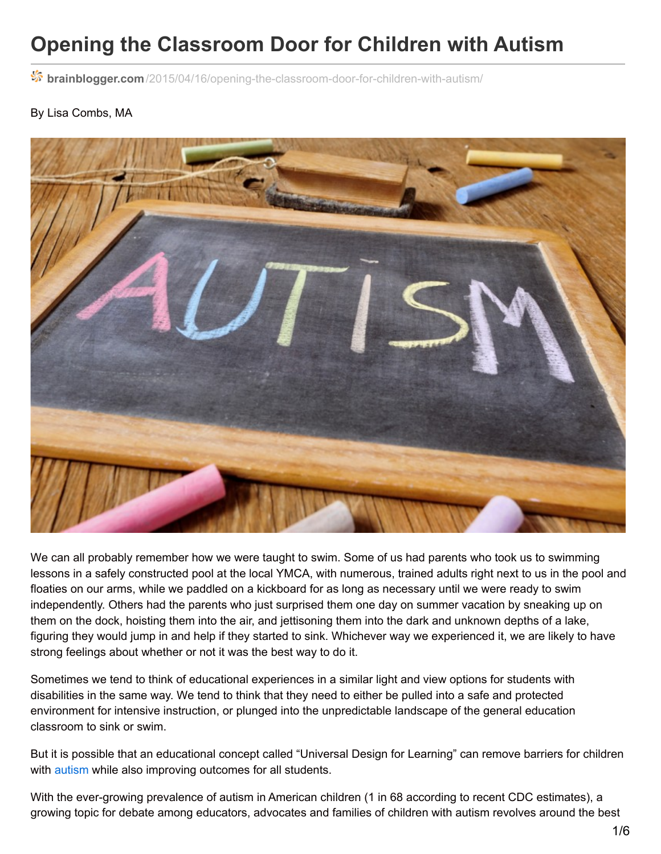## **Opening the Classroom Door for Children with Autism**

**brainblogger.com**[/2015/04/16/opening-the-classroom-door-for-children-with-autism/](http://brainblogger.com/2015/04/16/opening-the-classroom-door-for-children-with-autism/)

#### By Lisa Combs, MA



We can all probably remember how we were taught to swim. Some of us had parents who took us to swimming lessons in a safely constructed pool at the local YMCA, with numerous, trained adults right next to us in the pool and floaties on our arms, while we paddled on a kickboard for as long as necessary until we were ready to swim independently. Others had the parents who just surprised them one day on summer vacation by sneaking up on them on the dock, hoisting them into the air, and jettisoning them into the dark and unknown depths of a lake, figuring they would jump in and help if they started to sink. Whichever way we experienced it, we are likely to have strong feelings about whether or not it was the best way to do it.

Sometimes we tend to think of educational experiences in a similar light and view options for students with disabilities in the same way. We tend to think that they need to either be pulled into a safe and protected environment for intensive instruction, or plunged into the unpredictable landscape of the general education classroom to sink or swim.

But it is possible that an educational concept called "Universal Design for Learning" can remove barriers for children with [autism](http://brainblogger.com/2013/03/02/the-autistic-child-more-than-meets-the-eye/) while also improving outcomes for all students.

With the ever-growing prevalence of autism in American children (1 in 68 according to recent CDC estimates), a growing topic for debate among educators, advocates and families of children with autism revolves around the best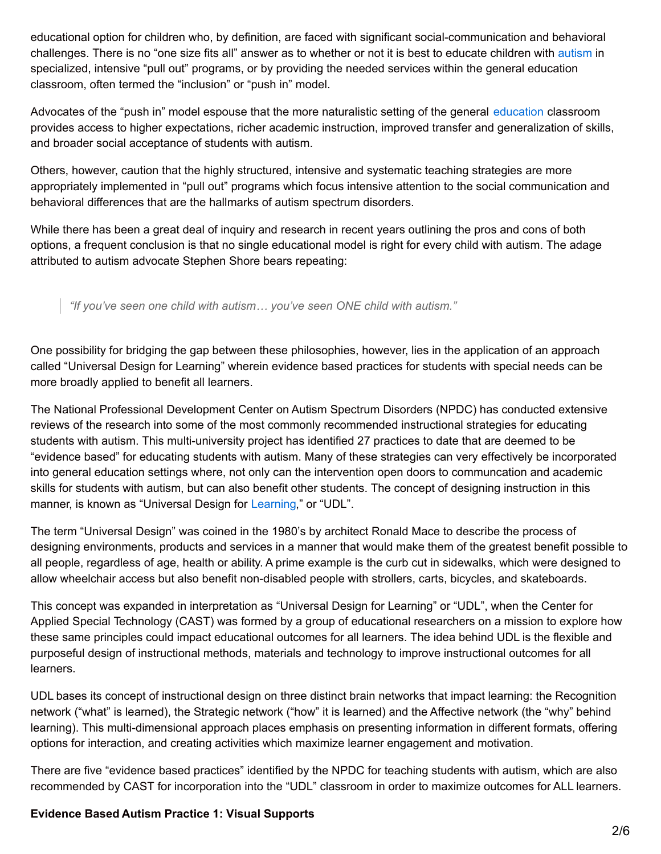educational option for children who, by definition, are faced with significant social-communication and behavioral challenges. There is no "one size fits all" answer as to whether or not it is best to educate children with [autism](http://brainblogger.com/2008/04/11/unhinging-from-theory-autism-and-opinions/) in specialized, intensive "pull out" programs, or by providing the needed services within the general education classroom, often termed the "inclusion" or "push in" model.

Advocates of the "push in" model espouse that the more naturalistic setting of the general [education](http://brainblogger.com/2010/09/12/a-little-education-goes-a-long-way/) classroom provides access to higher expectations, richer academic instruction, improved transfer and generalization of skills, and broader social acceptance of students with autism.

Others, however, caution that the highly structured, intensive and systematic teaching strategies are more appropriately implemented in "pull out" programs which focus intensive attention to the social communication and behavioral differences that are the hallmarks of autism spectrum disorders.

While there has been a great deal of inquiry and research in recent years outlining the pros and cons of both options, a frequent conclusion is that no single educational model is right for every child with autism. The adage attributed to autism advocate Stephen Shore bears repeating:

*"If you've seen one child with autism… you've seen ONE child with autism."*

One possibility for bridging the gap between these philosophies, however, lies in the application of an approach called "Universal Design for Learning" wherein evidence based practices for students with special needs can be more broadly applied to benefit all learners.

The National Professional Development Center on Autism Spectrum Disorders (NPDC) has conducted extensive reviews of the research into some of the most commonly recommended instructional strategies for educating students with autism. This multi-university project has identified 27 practices to date that are deemed to be "evidence based" for educating students with autism. Many of these strategies can very effectively be incorporated into general education settings where, not only can the intervention open doors to communcation and academic skills for students with autism, but can also benefit other students. The concept of designing instruction in this manner, is known as "Universal Design for [Learning](http://brainblogger.com/2012/08/13/learn-it-with-your-eyes-closed/)," or "UDL".

The term "Universal Design" was coined in the 1980's by architect Ronald Mace to describe the process of designing environments, products and services in a manner that would make them of the greatest benefit possible to all people, regardless of age, health or ability. A prime example is the curb cut in sidewalks, which were designed to allow wheelchair access but also benefit non-disabled people with strollers, carts, bicycles, and skateboards.

This concept was expanded in interpretation as "Universal Design for Learning" or "UDL", when the Center for Applied Special Technology (CAST) was formed by a group of educational researchers on a mission to explore how these same principles could impact educational outcomes for all learners. The idea behind UDL is the flexible and purposeful design of instructional methods, materials and technology to improve instructional outcomes for all learners.

UDL bases its concept of instructional design on three distinct brain networks that impact learning: the Recognition network ("what" is learned), the Strategic network ("how" it is learned) and the Affective network (the "why" behind learning). This multi-dimensional approach places emphasis on presenting information in different formats, offering options for interaction, and creating activities which maximize learner engagement and motivation.

There are five "evidence based practices" identified by the NPDC for teaching students with autism, which are also recommended by CAST for incorporation into the "UDL" classroom in order to maximize outcomes for ALL learners.

### **Evidence Based Autism Practice 1: Visual Supports**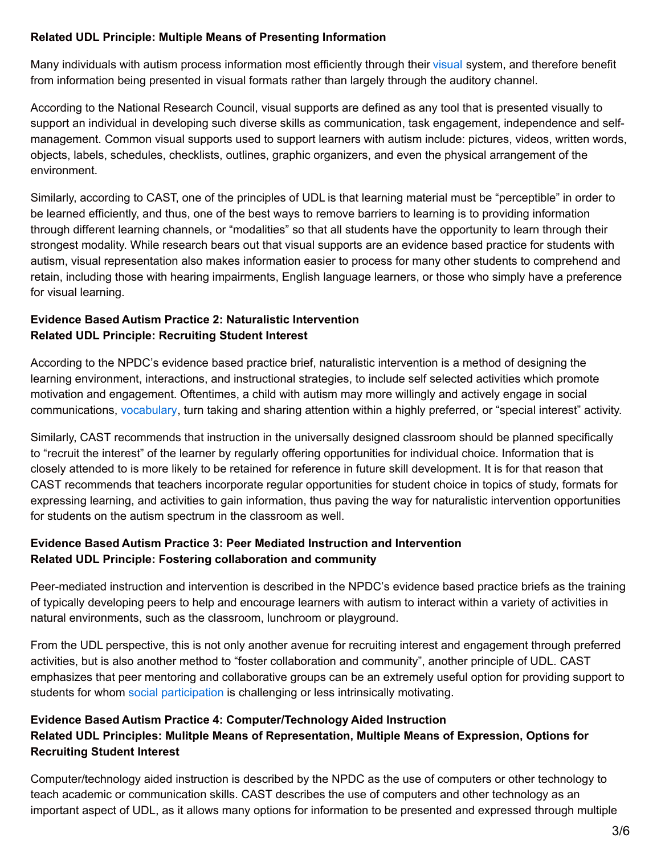### **Related UDL Principle: Multiple Means of Presenting Information**

Many individuals with autism process information most efficiently through their [visual](http://brainblogger.com/2010/07/30/violent-video-games-as-a-learning-tool/) system, and therefore benefit from information being presented in visual formats rather than largely through the auditory channel.

According to the National Research Council, visual supports are defined as any tool that is presented visually to support an individual in developing such diverse skills as communication, task engagement, independence and selfmanagement. Common visual supports used to support learners with autism include: pictures, videos, written words, objects, labels, schedules, checklists, outlines, graphic organizers, and even the physical arrangement of the environment.

Similarly, according to CAST, one of the principles of UDL is that learning material must be "perceptible" in order to be learned efficiently, and thus, one of the best ways to remove barriers to learning is to providing information through different learning channels, or "modalities" so that all students have the opportunity to learn through their strongest modality. While research bears out that visual supports are an evidence based practice for students with autism, visual representation also makes information easier to process for many other students to comprehend and retain, including those with hearing impairments, English language learners, or those who simply have a preference for visual learning.

## **Evidence Based Autism Practice 2: Naturalistic Intervention Related UDL Principle: Recruiting Student Interest**

According to the NPDC's evidence based practice brief, naturalistic intervention is a method of designing the learning environment, interactions, and instructional strategies, to include self selected activities which promote motivation and engagement. Oftentimes, a child with autism may more willingly and actively engage in social communications, [vocabulary](http://brainblogger.com/2010/02/07/speaking-in-tongues-a-neural-snapshot/), turn taking and sharing attention within a highly preferred, or "special interest" activity.

Similarly, CAST recommends that instruction in the universally designed classroom should be planned specifically to "recruit the interest" of the learner by regularly offering opportunities for individual choice. Information that is closely attended to is more likely to be retained for reference in future skill development. It is for that reason that CAST recommends that teachers incorporate regular opportunities for student choice in topics of study, formats for expressing learning, and activities to gain information, thus paving the way for naturalistic intervention opportunities for students on the autism spectrum in the classroom as well.

## **Evidence Based Autism Practice 3: Peer Mediated Instruction and Intervention Related UDL Principle: Fostering collaboration and community**

Peer-mediated instruction and intervention is described in the NPDC's evidence based practice briefs as the training of typically developing peers to help and encourage learners with autism to interact within a variety of activities in natural environments, such as the classroom, lunchroom or playground.

From the UDL perspective, this is not only another avenue for recruiting interest and engagement through preferred activities, but is also another method to "foster collaboration and community", another principle of UDL. CAST emphasizes that peer mentoring and collaborative groups can be an extremely useful option for providing support to students for whom social [participation](http://brainblogger.com/2010/08/05/social-interaction-at-the-work-place-a-case-study-analysis/) is challenging or less intrinsically motivating.

# **Evidence Based Autism Practice 4: Computer/Technology Aided Instruction**

## **Related UDL Principles: Mulitple Means of Representation, Multiple Means of Expression, Options for Recruiting Student Interest**

Computer/technology aided instruction is described by the NPDC as the use of computers or other technology to teach academic or communication skills. CAST describes the use of computers and other technology as an important aspect of UDL, as it allows many options for information to be presented and expressed through multiple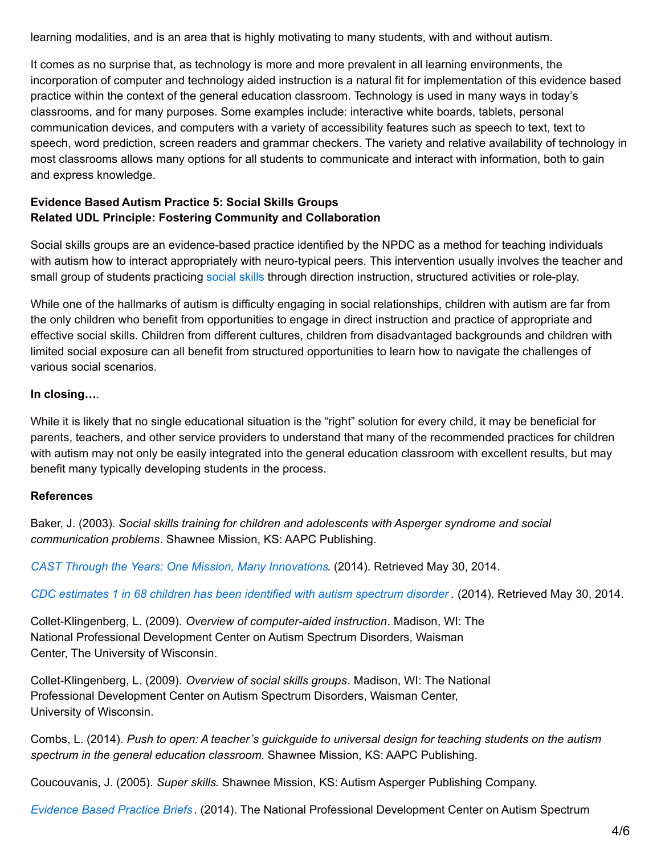learning modalities, and is an area that is highly motivating to many students, with and without autism.

It comes as no surprise that, as technology is more and more prevalent in all learning environments, the incorporation of computer and technology aided instruction is a natural fit for implementation of this evidence based practice within the context of the general education classroom. Technology is used in many ways in today's classrooms, and for many purposes. Some examples include: interactive white boards, tablets, personal communication devices, and computers with a variety of accessibility features such as speech to text, text to speech, word prediction, screen readers and grammar checkers. The variety and relative availability of technology in most classrooms allows many options for all students to communicate and interact with information, both to gain and express knowledge.

### **Evidence Based Autism Practice 5: Social Skills Groups Related UDL Principle: Fostering Community and Collaboration**

Social skills groups are an evidence-based practice identified by the NPDC as a method for teaching individuals with autism how to interact appropriately with neuro-typical peers. This intervention usually involves the teacher and small group of students practicing [social](http://brainblogger.com/2015/03/27/genes-stress-and-behavior-is-your-child-an-orchid-or-a-dandelion/) skills through direction instruction, structured activities or role-play.

While one of the hallmarks of autism is difficulty engaging in social relationships, children with autism are far from the only children who benefit from opportunities to engage in direct instruction and practice of appropriate and effective social skills. Children from different cultures, children from disadvantaged backgrounds and children with limited social exposure can all benefit from structured opportunities to learn how to navigate the challenges of various social scenarios.

### **In closing…**.

While it is likely that no single educational situation is the "right" solution for every child, it may be beneficial for parents, teachers, and other service providers to understand that many of the recommended practices for children with autism may not only be easily integrated into the general education classroom with excellent results, but may benefit many typically developing students in the process.

### **References**

Baker, J. (2003). *Social skills training for children and adolescents with Asperger syndrome and social communication problems*. Shawnee Mission, KS: AAPC Publishing.

*CAST Through the Years: One Mission, Many [Innovations](http://www.cast.org/about/timeline.html)*. (2014). Retrieved May 30, 2014.

*CDC [estimates](http://www.cdc.gov/media/releases/2014/p0327-autism-spectrum-disorder.html) 1 in 68 children has been identified with autism spectrum disorder .* (2014). Retrieved May 30, 2014.

Collet-Klingenberg, L. (2009). *Overview of computer-aided instruction*. Madison, WI: The National Professional Development Center on Autism Spectrum Disorders, Waisman Center, The University of Wisconsin.

Collet-Klingenberg, L. (2009). *Overview of social skills groups*. Madison, WI: The National Professional Development Center on Autism Spectrum Disorders, Waisman Center, University of Wisconsin.

Combs, L. (2014). *Push to open: A teacher's guickguide to universal design for teaching students on the autism spectrum in the general education classroom*. Shawnee Mission, KS: AAPC Publishing.

Coucouvanis, J. (2005). *Super skills*. Shawnee Mission, KS: Autism Asperger Publishing Company.

*[Evidence](http://autismpdc.fpg.unc.edu/evidence-based-practices) Based Practice Briefs* . (2014). The National Professional Development Center on Autism Spectrum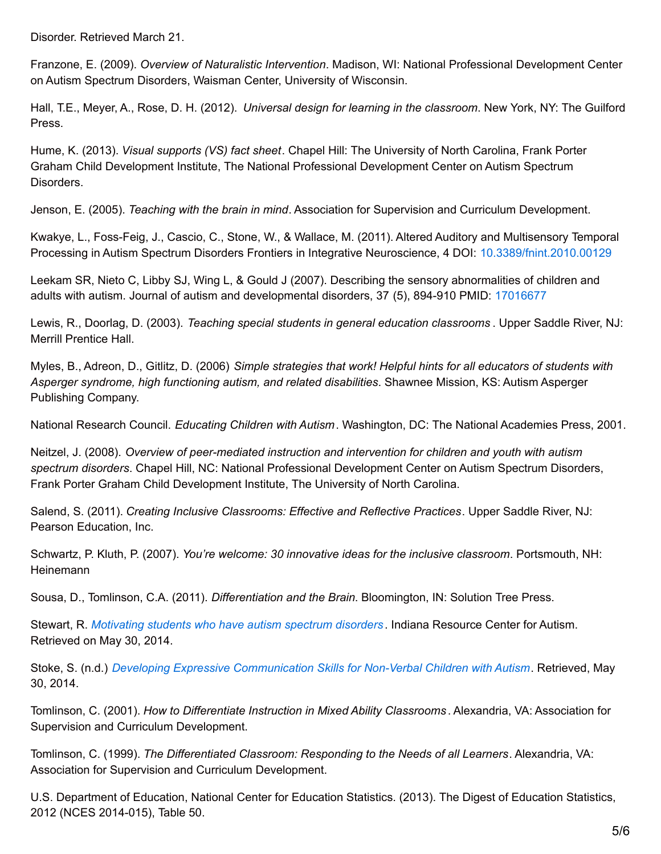Disorder. Retrieved March 21.

Franzone, E. (2009). *Overview of Naturalistic Intervention*. Madison, WI: National Professional Development Center on Autism Spectrum Disorders, Waisman Center, University of Wisconsin.

Hall, T.E., Meyer, A., Rose, D. H. (2012). *Universal design for learning in the classroom*. New York, NY: The Guilford Press.

Hume, K. (2013). *Visual supports (VS) fact sheet*. Chapel Hill: The University of North Carolina, Frank Porter Graham Child Development Institute, The National Professional Development Center on Autism Spectrum Disorders.

Jenson, E. (2005). *Teaching with the brain in mind*. Association for Supervision and Curriculum Development.

Kwakye, L., Foss-Feig, J., Cascio, C., Stone, W., & Wallace, M. (2011). Altered Auditory and Multisensory Temporal Processing in Autism Spectrum Disorders Frontiers in Integrative Neuroscience, 4 DOI: [10.3389/fnint.2010.00129](http://dx.doi.org/10.3389/fnint.2010.00129)

Leekam SR, Nieto C, Libby SJ, Wing L, & Gould J (2007). Describing the sensory abnormalities of children and adults with autism. Journal of autism and developmental disorders, 37 (5), 894-910 PMID: [17016677](http://www.ncbi.nlm.nih.gov/pubmed/17016677)

Lewis, R., Doorlag, D. (2003). *Teaching special students in general education classrooms* . Upper Saddle River, NJ: Merrill Prentice Hall.

Myles, B., Adreon, D., Gitlitz, D. (2006) *Simple strategies that work! Helpful hints for all educators of students with Asperger syndrome, high functioning autism, and related disabilities*. Shawnee Mission, KS: Autism Asperger Publishing Company.

National Research Council. *Educating Children with Autism*. Washington, DC: The National Academies Press, 2001.

Neitzel, J. (2008). *Overview of peer-mediated instruction and intervention for children and youth with autism spectrum disorders*. Chapel Hill, NC: National Professional Development Center on Autism Spectrum Disorders, Frank Porter Graham Child Development Institute, The University of North Carolina.

Salend, S. (2011). *Creating Inclusive Classrooms: Effective and Reflective Practices*. Upper Saddle River, NJ: Pearson Education, Inc.

Schwartz, P. Kluth, P. (2007). *You're welcome: 30 innovative ideas for the inclusive classroom*. Portsmouth, NH: Heinemann

Sousa, D., Tomlinson, C.A. (2011). *Differentiation and the Brain*. Bloomington, IN: Solution Tree Press.

Stewart, R. *[Motivating](http://www.iidc.indiana.edu/?pageId=430) students who have autism spectrum disorders* . Indiana Resource Center for Autism. Retrieved on May 30, 2014.

Stoke, S. (n.d.) *Developing Expressive [Communication](http://www.specialed.us/autism/nonverbal/non11.htm) Skills for Non-Verbal Children with Autism*. Retrieved, May 30, 2014.

Tomlinson, C. (2001). *How to Differentiate Instruction in Mixed Ability Classrooms* . Alexandria, VA: Association for Supervision and Curriculum Development.

Tomlinson, C. (1999). *The Differentiated Classroom: Responding to the Needs of all Learners*. Alexandria, VA: Association for Supervision and Curriculum Development.

U.S. Department of Education, National Center for Education Statistics. (2013). The Digest of Education Statistics, 2012 (NCES 2014-015), Table 50.